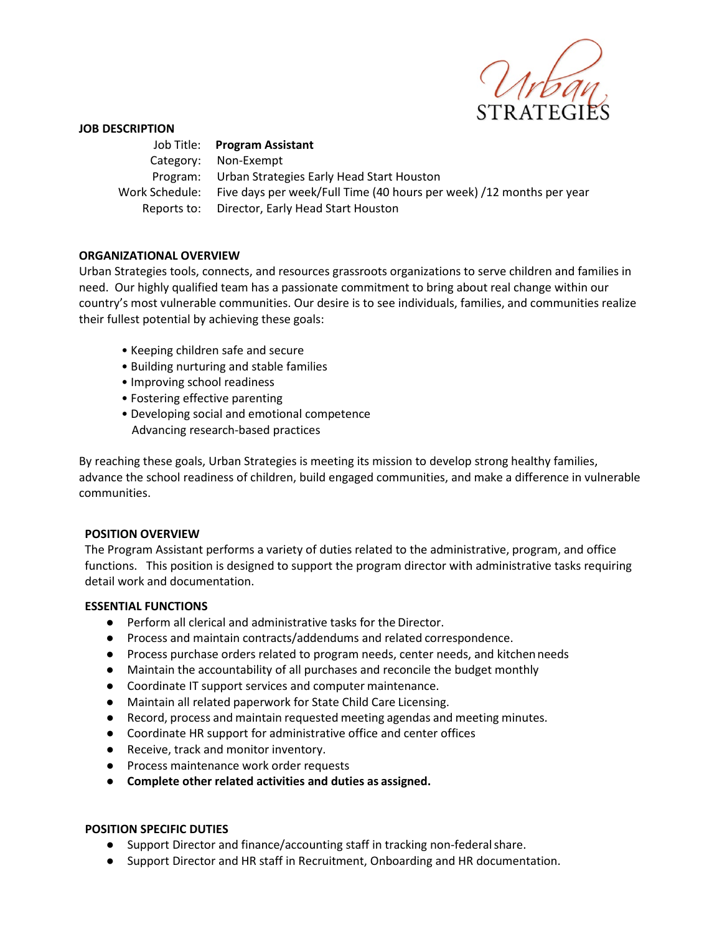

### **JOB DESCRIPTION**

 Job Title: **Program Assistant** Category: Non-Exempt Program: Urban Strategies Early Head Start Houston Work Schedule: Five days per week/Full Time (40 hours per week) /12 months per year Reports to: Director, Early Head Start Houston

### **ORGANIZATIONAL OVERVIEW**

Urban Strategies tools, connects, and resources grassroots organizations to serve children and families in need. Our highly qualified team has a passionate commitment to bring about real change within our country's most vulnerable communities. Our desire is to see individuals, families, and communities realize their fullest potential by achieving these goals:

- Keeping children safe and secure
- Building nurturing and stable families
- Improving school readiness
- Fostering effective parenting
- Developing social and emotional competence Advancing research-based practices

By reaching these goals, Urban Strategies is meeting its mission to develop strong healthy families, advance the school readiness of children, build engaged communities, and make a difference in vulnerable communities.

## **POSITION OVERVIEW**

The Program Assistant performs a variety of duties related to the administrative, program, and office functions. This position is designed to support the program director with administrative tasks requiring detail work and documentation.

## **ESSENTIAL FUNCTIONS**

- Perform all clerical and administrative tasks for the Director.
- Process and maintain contracts/addendums and related correspondence.
- Process purchase orders related to program needs, center needs, and kitchenneeds
- Maintain the accountability of all purchases and reconcile the budget monthly
- Coordinate IT support services and computer maintenance.
- Maintain all related paperwork for State Child Care Licensing.
- Record, process and maintain requested meeting agendas and meeting minutes.
- Coordinate HR support for administrative office and center offices
- Receive, track and monitor inventory.
- Process maintenance work order requests
- **Complete other related activities and duties as assigned.**

#### **POSITION SPECIFIC DUTIES**

- Support Director and finance/accounting staff in tracking non-federalshare.
- Support Director and HR staff in Recruitment, Onboarding and HR documentation.